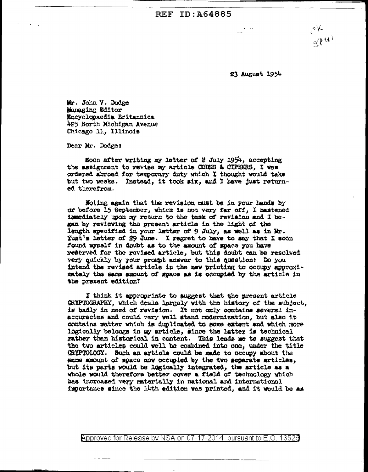**REF ID: 464885** 

23 August 1954

 $\mathcal{C}^{\mathcal{K}}$ 

gan

Mr. John V. Dodge Managing Editor Encyclopaedia Britannica 425 North Michigan Avenue Chicago 11, Illinois

Dear Mr. Dodge:

Soon after writing my letter of 2 July 1954, accepting the assignment to revise my article CODES & CIPHERS. I was ordered abroad for temporary duty yhich I thought would take but two weeks. Instead, it took six, and I have just returned therefrom.

Moting again that the revision must be in your hands by or before 15 September, which is not very far off, I hastened immediately upon my return to the task of revision and I began by reviewing the present article in the light of the length specified in your letter of 9 July, as well as in Mr.  $\chi$ ust's letter of 29 June. I regret to have to say that I soon found myself in doubt as to the amount of space you have reserved for the revised article, but this doubt can be resolved yery quickly by your prompt answer to this question: Do you intend the revised article in the new printing to occupy approximately the same amount of space as is occupied by the article in the present edition?

I think it appropriate to suggest that the present article CRYPTOGRAPHY, which deals largely with the history of the subject, is badly in need of revision. It not only contains several inaccuracies and could very well stand modernization, but also it contains matter which is duplicated to some extent and which more logically belongs in my article, since the latter is technical rather than historical in content. This leads me to suggest that the two articles could well be combined into one, under the title CRYPTOLOGY. Such an article could be made to occupy about the same amount of space now occupied by the two separate articles. but its parts would be logically integrated, the article as a whole would therefore better cover a field of technology which has increased very materially in national and international importance since the 14th edition was printed, and it would be as

Approved for Release by NSA on 07-17-2014 pursuant to E.O. 13526